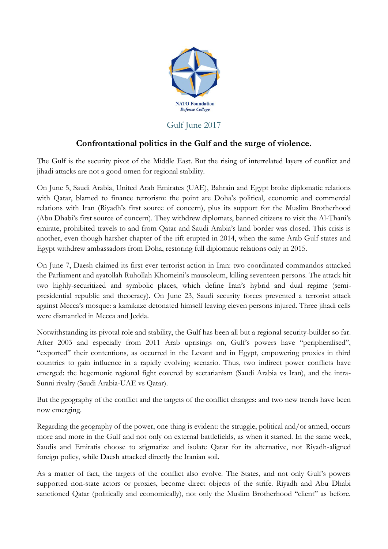

## Gulf June 2017

## **Confrontational politics in the Gulf and the surge of violence.**

The Gulf is the security pivot of the Middle East. But the rising of interrelated layers of conflict and jihadi attacks are not a good omen for regional stability.

On June 5, Saudi Arabia, United Arab Emirates (UAE), Bahrain and Egypt broke diplomatic relations with Qatar, blamed to finance terrorism: the point are Doha's political, economic and commercial relations with Iran (Riyadh's first source of concern), plus its support for the Muslim Brotherhood (Abu Dhabi's first source of concern). They withdrew diplomats, banned citizens to visit the Al-Thani's emirate, prohibited travels to and from Qatar and Saudi Arabia's land border was closed. This crisis is another, even though harsher chapter of the rift erupted in 2014, when the same Arab Gulf states and Egypt withdrew ambassadors from Doha, restoring full diplomatic relations only in 2015.

On June 7, Daesh claimed its first ever terrorist action in Iran: two coordinated commandos attacked the Parliament and ayatollah Ruhollah Khomeini's mausoleum, killing seventeen persons. The attack hit two highly-securitized and symbolic places, which define Iran's hybrid and dual regime (semipresidential republic and theocracy). On June 23, Saudi security forces prevented a terrorist attack against Mecca's mosque: a kamikaze detonated himself leaving eleven persons injured. Three jihadi cells were dismantled in Mecca and Jedda.

Notwithstanding its pivotal role and stability, the Gulf has been all but a regional security-builder so far. After 2003 and especially from 2011 Arab uprisings on, Gulf's powers have "peripheralised", "exported" their contentions, as occurred in the Levant and in Egypt, empowering proxies in third countries to gain influence in a rapidly evolving scenario. Thus, two indirect power conflicts have emerged: the hegemonic regional fight covered by sectarianism (Saudi Arabia vs Iran), and the intra-Sunni rivalry (Saudi Arabia-UAE vs Qatar).

But the geography of the conflict and the targets of the conflict changes: and two new trends have been now emerging.

Regarding the geography of the power, one thing is evident: the struggle, political and/or armed, occurs more and more in the Gulf and not only on external battlefields, as when it started. In the same week, Saudis and Emiratis choose to stigmatize and isolate Qatar for its alternative, not Riyadh-aligned foreign policy, while Daesh attacked directly the Iranian soil.

As a matter of fact, the targets of the conflict also evolve. The States, and not only Gulf's powers supported non-state actors or proxies, become direct objects of the strife. Riyadh and Abu Dhabi sanctioned Qatar (politically and economically), not only the Muslim Brotherhood "client" as before.